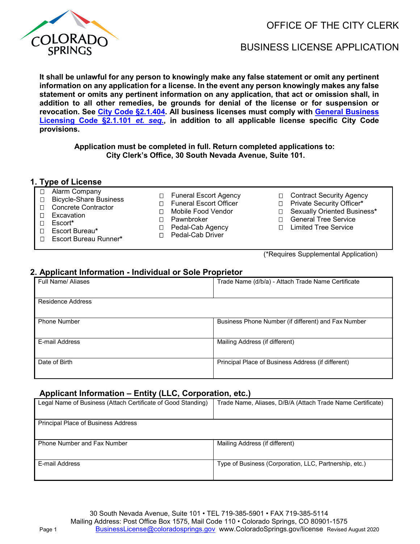

OFFICE OF THE CITY CLERK

# BUSINESS LICENSE APPLICATION

**It shall be unlawful for any person to knowingly make any false statement or omit any pertinent information on any application for a license. In the event any person knowingly makes any false statement or omits any pertinent information on any application, that act or omission shall, in addition to all other remedies, be grounds for denial of the license or for suspension or revocation. See [City Code §2.1.404.](https://codelibrary.amlegal.com/codes/coloradospringsco/latest/coloradosprings_co/0-0-0-1602) All business licenses must comply with [General Business](https://codelibrary.amlegal.com/codes/coloradospringsco/latest/coloradosprings_co/0-0-0-1495)  Licensing [Code §2.1.101](https://codelibrary.amlegal.com/codes/coloradospringsco/latest/coloradosprings_co/0-0-0-1495)** *et. seq.***, in addition to all applicable license specific City Code provisions.**

**Application must be completed in full. Return completed applications to: City Clerk's Office, 30 South Nevada Avenue, Suite 101.** 

#### **1. Type of License**  □ Alarm Company

D Excavation Escort**\***

Escort Bureau**\***

| □ Funeral Escort Agency  |
|--------------------------|
| □ Funeral Escort Officer |

□ Mobile Food Vendor

- □ Pawnbroker
- □ Pedal-Cab Agency
- D Pedal-Cab Driver
- Escort Bureau Runner**\***

□ Bicycle-Share Business □ Concrete Contractor

(\*Requires Supplemental Application)

□ General Tree Service Limited Tree Service

□ Contract Security Agency Private Security Officer**\*** Sexually Oriented Business**\***

### **2. Applicant Information - Individual or Sole Proprietor**

| <b>Full Name/ Aliases</b> | Trade Name (d/b/a) - Attach Trade Name Certificate  |
|---------------------------|-----------------------------------------------------|
|                           |                                                     |
| Residence Address         |                                                     |
|                           |                                                     |
| <b>Phone Number</b>       | Business Phone Number (if different) and Fax Number |
|                           |                                                     |
| E-mail Address            | Mailing Address (if different)                      |
|                           |                                                     |
| Date of Birth             | Principal Place of Business Address (if different)  |
|                           |                                                     |

#### **Applicant Information – Entity (LLC, Corporation, etc.)**

| Legal Name of Business (Attach Certificate of Good Standing) | Trade Name, Aliases, D/B/A (Attach Trade Name Certificate) |
|--------------------------------------------------------------|------------------------------------------------------------|
| <b>Principal Place of Business Address</b>                   |                                                            |
| <b>Phone Number and Fax Number</b>                           | Mailing Address (if different)                             |
| E-mail Address                                               | Type of Business (Corporation, LLC, Partnership, etc.)     |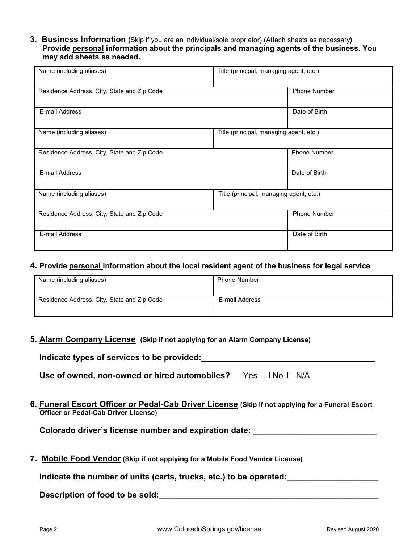### **3. Business Information (**Skip if you are an individual/sole proprietor) (Attach sheets as necessary**) Provide personal information about the principals and managing agents of the business. You may add sheets as needed.**

| Name (including aliases)                    | Title (principal, managing agent, etc.) |
|---------------------------------------------|-----------------------------------------|
|                                             |                                         |
| Residence Address, City, State and Zip Code | <b>Phone Number</b>                     |
|                                             |                                         |
|                                             |                                         |
| E-mail Address                              | Date of Birth                           |
|                                             |                                         |
|                                             |                                         |
| Name (including aliases)                    | Title (principal, managing agent, etc.) |
|                                             |                                         |
| Residence Address, City, State and Zip Code | <b>Phone Number</b>                     |
|                                             |                                         |
|                                             |                                         |
| E-mail Address                              | Date of Birth                           |
|                                             |                                         |
|                                             |                                         |
| Name (including aliases)                    | Title (principal, managing agent, etc.) |
|                                             |                                         |
| Residence Address, City, State and Zip Code | <b>Phone Number</b>                     |
|                                             |                                         |
|                                             |                                         |
| E-mail Address                              | Date of Birth                           |
|                                             |                                         |
|                                             |                                         |

### **4. Provide personal information about the local resident agent of the business for legal service**

| Name (including aliases)                    | <b>Phone Number</b> |
|---------------------------------------------|---------------------|
| Residence Address, City, State and Zip Code | E-mail Address      |

**5. Alarm Company License (Skip if not applying for an Alarm Company License)**

**Indicate types of services to be provided:\_\_\_\_\_\_\_\_\_\_\_\_\_\_\_\_\_\_\_\_\_\_\_\_\_\_\_\_\_\_\_\_\_\_\_\_\_\_**

| Use of owned, non-owned or hired automobiles? $\square$ Yes $\square$ No $\square$ N/A |  |  |  |
|----------------------------------------------------------------------------------------|--|--|--|
|----------------------------------------------------------------------------------------|--|--|--|

**6. Funeral Escort Officer or Pedal-Cab Driver License (Skip if not applying for a Funeral Escort Officer or Pedal-Cab Driver License)** 

**Colorado driver's license number and expiration date: \_\_\_\_\_\_\_\_\_\_\_\_\_\_\_\_\_\_\_\_\_\_\_\_\_\_\_**

**7. Mobile Food Vendor (Skip if not applying for a Mobile Food Vendor License)** 

Indicate the number of units (carts, trucks, etc.) to be operated: **with the summan of the set of the set of the s** 

**Description of food to be sold:\_\_\_\_\_\_\_\_\_\_\_\_\_\_\_\_\_\_\_\_\_\_\_\_\_\_\_\_\_\_\_\_\_\_\_\_\_\_\_\_\_\_\_\_\_\_\_\_**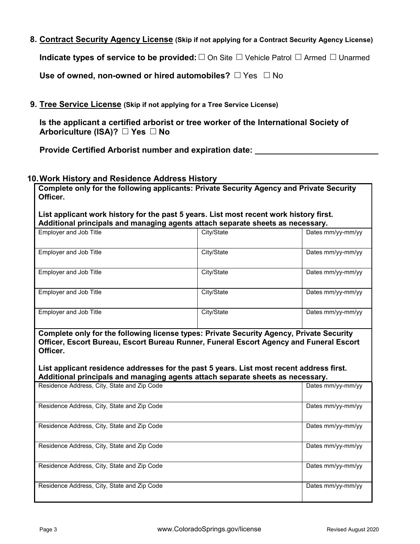**8. Contract Security Agency License (Skip if not applying for a Contract Security Agency License)**

**Indicate types of service to be provided:** □ On Site □ Vehicle Patrol □ Armed □ Unarmed

**Use of owned, non-owned or hired automobiles?**  $\Box$  Yes  $\Box$  No

**9. Tree Service License (Skip if not applying for a Tree Service License)**

**Is the applicant a certified arborist or tree worker of the International Society of Arboriculture (ISA)?** □ Yes □ No

Provide Certified Arborist number and expiration date: \_

# **10.Work History and Residence Address History**

**Complete only for the following applicants: Private Security Agency and Private Security Officer.**

**List applicant work history for the past 5 years. List most recent work history first. Additional principals and managing agents attach separate sheets as necessary.**

| Employer and Job Title | City/State | Dates mm/yy-mm/yy |
|------------------------|------------|-------------------|
| Employer and Job Title | City/State | Dates mm/yy-mm/yy |
| Employer and Job Title | City/State | Dates mm/yy-mm/yy |
| Employer and Job Title | City/State | Dates mm/yy-mm/yy |
| Employer and Job Title | City/State | Dates mm/yy-mm/yy |

**Complete only for the following license types: Private Security Agency, Private Security Officer, Escort Bureau, Escort Bureau Runner, Funeral Escort Agency and Funeral Escort Officer.** 

**List applicant residence addresses for the past 5 years. List most recent address first. Additional principals and managing agents attach separate sheets as necessary.**

| Residence Address, City, State and Zip Code | Dates mm/yy-mm/yy |
|---------------------------------------------|-------------------|
| Residence Address, City, State and Zip Code | Dates mm/yy-mm/yy |
| Residence Address, City, State and Zip Code | Dates mm/yy-mm/yy |
| Residence Address, City, State and Zip Code | Dates mm/yy-mm/yy |
| Residence Address, City, State and Zip Code | Dates mm/yy-mm/yy |
| Residence Address, City, State and Zip Code | Dates mm/yy-mm/yy |